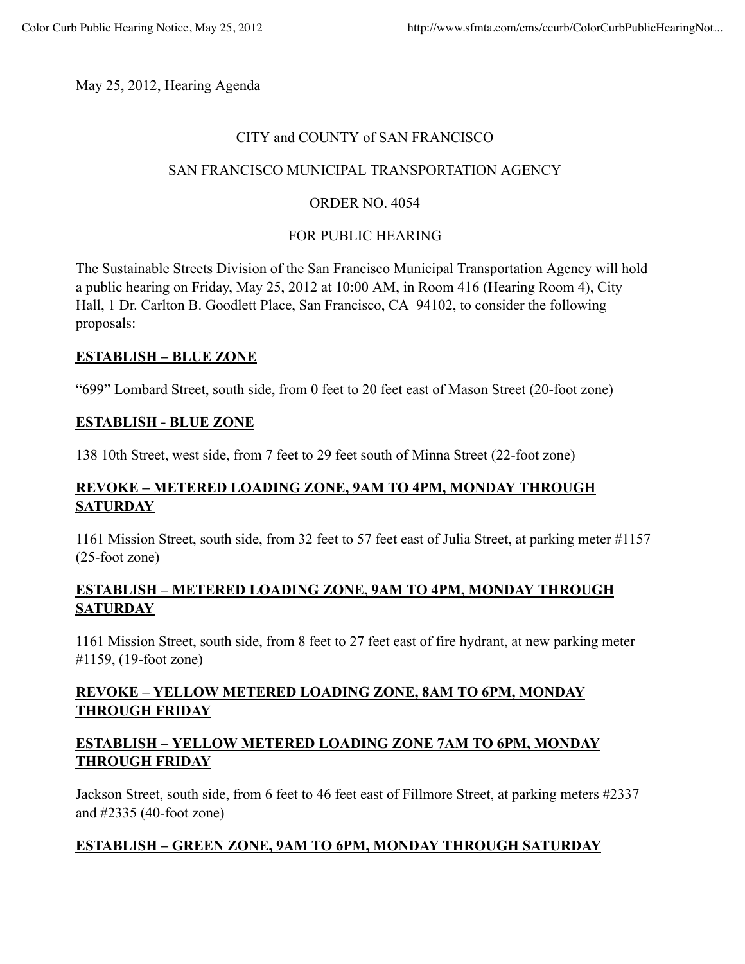May 25, 2012, Hearing Agenda

### CITY and COUNTY of SAN FRANCISCO

# SAN FRANCISCO MUNICIPAL TRANSPORTATION AGENCY

# ORDER NO. 4054

# FOR PUBLIC HEARING

The Sustainable Streets Division of the San Francisco Municipal Transportation Agency will hold a public hearing on Friday, May 25, 2012 at 10:00 AM, in Room 416 (Hearing Room 4), City Hall, 1 Dr. Carlton B. Goodlett Place, San Francisco, CA 94102, to consider the following proposals:

# **ESTABLISH – BLUE ZONE**

"699" Lombard Street, south side, from 0 feet to 20 feet east of Mason Street (20-foot zone)

### **ESTABLISH - BLUE ZONE**

138 10th Street, west side, from 7 feet to 29 feet south of Minna Street (22-foot zone)

# **REVOKE – METERED LOADING ZONE, 9AM TO 4PM, MONDAY THROUGH SATURDAY**

1161 Mission Street, south side, from 32 feet to 57 feet east of Julia Street, at parking meter #1157 (25-foot zone)

# **ESTABLISH – METERED LOADING ZONE, 9AM TO 4PM, MONDAY THROUGH SATURDAY**

1161 Mission Street, south side, from 8 feet to 27 feet east of fire hydrant, at new parking meter #1159, (19-foot zone)

# **REVOKE – YELLOW METERED LOADING ZONE, 8AM TO 6PM, MONDAY THROUGH FRIDAY**

# **ESTABLISH – YELLOW METERED LOADING ZONE 7AM TO 6PM, MONDAY THROUGH FRIDAY**

Jackson Street, south side, from 6 feet to 46 feet east of Fillmore Street, at parking meters #2337 and #2335 (40-foot zone)

# **ESTABLISH – GREEN ZONE, 9AM TO 6PM, MONDAY THROUGH SATURDAY**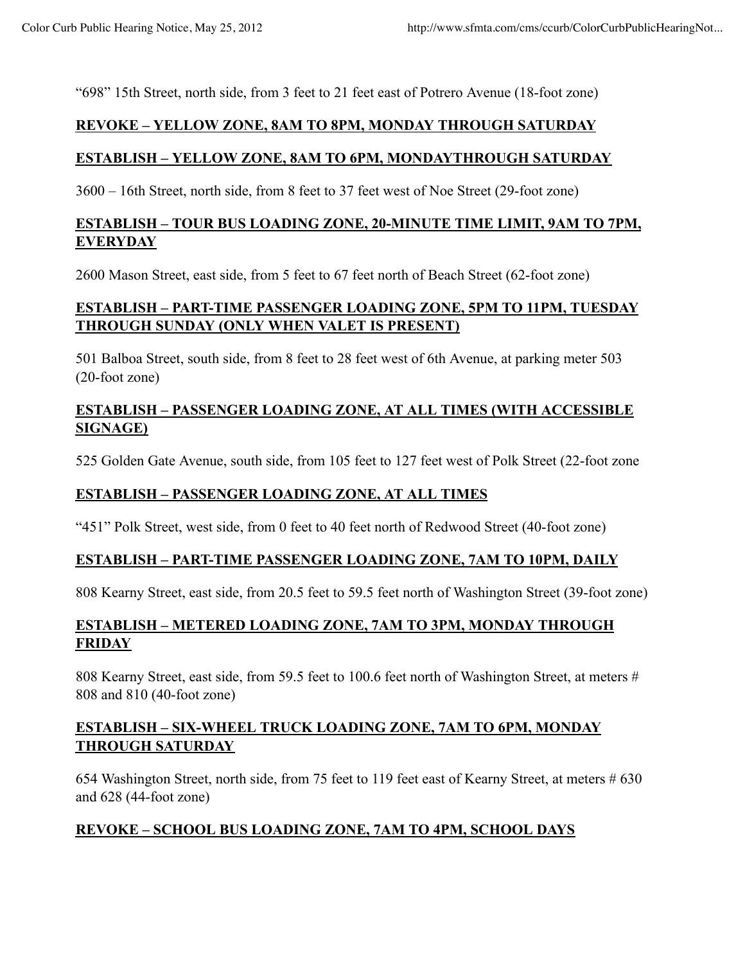"698" 15th Street, north side, from 3 feet to 21 feet east of Potrero Avenue (18-foot zone)

#### **REVOKE – YELLOW ZONE, 8AM TO 8PM, MONDAY THROUGH SATURDAY**

### **ESTABLISH – YELLOW ZONE, 8AM TO 6PM, MONDAYTHROUGH SATURDAY**

3600 – 16th Street, north side, from 8 feet to 37 feet west of Noe Street (29-foot zone)

# **ESTABLISH – TOUR BUS LOADING ZONE, 20-MINUTE TIME LIMIT, 9AM TO 7PM, EVERYDAY**

2600 Mason Street, east side, from 5 feet to 67 feet north of Beach Street (62-foot zone)

# **ESTABLISH – PART-TIME PASSENGER LOADING ZONE, 5PM TO 11PM, TUESDAY THROUGH SUNDAY (ONLY WHEN VALET IS PRESENT)**

501 Balboa Street, south side, from 8 feet to 28 feet west of 6th Avenue, at parking meter 503 (20-foot zone)

# **ESTABLISH – PASSENGER LOADING ZONE, AT ALL TIMES (WITH ACCESSIBLE SIGNAGE)**

525 Golden Gate Avenue, south side, from 105 feet to 127 feet west of Polk Street (22-foot zone

### **ESTABLISH – PASSENGER LOADING ZONE, AT ALL TIMES**

"451" Polk Street, west side, from 0 feet to 40 feet north of Redwood Street (40-foot zone)

### **ESTABLISH – PART-TIME PASSENGER LOADING ZONE, 7AM TO 10PM, DAILY**

808 Kearny Street, east side, from 20.5 feet to 59.5 feet north of Washington Street (39-foot zone)

# **ESTABLISH – METERED LOADING ZONE, 7AM TO 3PM, MONDAY THROUGH FRIDAY**

808 Kearny Street, east side, from 59.5 feet to 100.6 feet north of Washington Street, at meters # 808 and 810 (40-foot zone)

# **ESTABLISH – SIX-WHEEL TRUCK LOADING ZONE, 7AM TO 6PM, MONDAY THROUGH SATURDAY**

654 Washington Street, north side, from 75 feet to 119 feet east of Kearny Street, at meters # 630 and 628 (44-foot zone)

### **REVOKE – SCHOOL BUS LOADING ZONE, 7AM TO 4PM, SCHOOL DAYS**